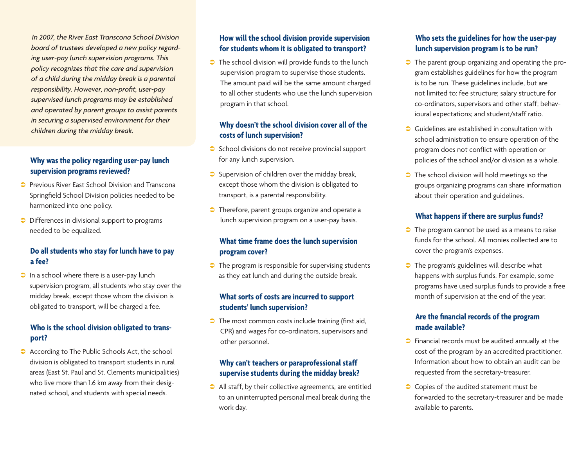*In 2007, the River East Transcona School Division board of trustees developed a new policy regarding user-pay lunch supervision programs. This policy recognizes that the care and supervision of a child during the midday break is a parental responsibility. However, non-profit, user-pay supervised lunch programs may be established and operated by parent groups to assist parents in securing a supervised environment for their children during the midday break.*

## **Why was the policy regarding user-pay lunch supervision programs reviewed?**

- **Previous River Fast School Division and Transcona** Springfield School Division policies needed to be harmonized into one policy.
- $\supset$  Differences in divisional support to programs needed to be equalized.

## **Do all students who stay for lunch have to pay a fee?**

 $\Box$  In a school where there is a user-pay lunch supervision program, all students who stay over the midday break, except those whom the division is obligated to transport, will be charged a fee.

## **Who is the school division obligated to transport?**

According to The Public Schools Act, the school division is obligated to transport students in rural areas (East St. Paul and St. Clements municipalities) who live more than 1.6 km away from their designated school, and students with special needs.

#### **How will the school division provide supervision for students whom it is obligated to transport?**

 $\bullet$  The school division will provide funds to the lunch supervision program to supervise those students. The amount paid will be the same amount charged to all other students who use the lunch supervision program in that school.

#### **Why doesn't the school division cover all of the costs of lunch supervision?**

- $\bullet$  School divisions do not receive provincial support for any lunch supervision.
- $\supset$  Supervision of children over the midday break, except those whom the division is obligated to transport, is a parental responsibility.
- $\bullet$  Therefore, parent groups organize and operate a lunch supervision program on a user-pay basis.

## **What time frame does the lunch supervision program cover?**

 $\bullet$  The program is responsible for supervising students as they eat lunch and during the outside break.

#### **What sorts of costs are incurred to support students' lunch supervision?**

 $\bullet$  The most common costs include training (first aid, CPR) and wages for co-ordinators, supervisors and other personnel.

## **Why can't teachers or paraprofessional staff supervise students during the midday break?**

 $\bullet$  All staff, by their collective agreements, are entitled to an uninterrupted personal meal break during the work day.

## **Who sets the guidelines for how the user-pay lunch supervision program is to be run?**

- $\bullet$  The parent group organizing and operating the program establishes guidelines for how the program is to be run. These guidelines include, but are not limited to: fee structure; salary structure for co-ordinators, supervisors and other staff; behavioural expectations; and student/staff ratio.
- **C** Guidelines are established in consultation with school administration to ensure operation of the program does not conflict with operation or policies of the school and/or division as a whole.
- $\bullet$  The school division will hold meetings so the groups organizing programs can share information about their operation and guidelines.

## **What happens if there are surplus funds?**

- $\bullet$  The program cannot be used as a means to raise funds for the school. All monies collected are to cover the program's expenses.
- $\bullet$  The program's guidelines will describe what happens with surplus funds. For example, some programs have used surplus funds to provide a free month of supervision at the end of the year.

## **Are the financial records of the program made available?**

- $\bullet$  Financial records must be audited annually at the cost of the program by an accredited practitioner. Information about how to obtain an audit can be requested from the secretary-treasurer.
- $\bullet$  Copies of the audited statement must be forwarded to the secretary-treasurer and be made available to parents.